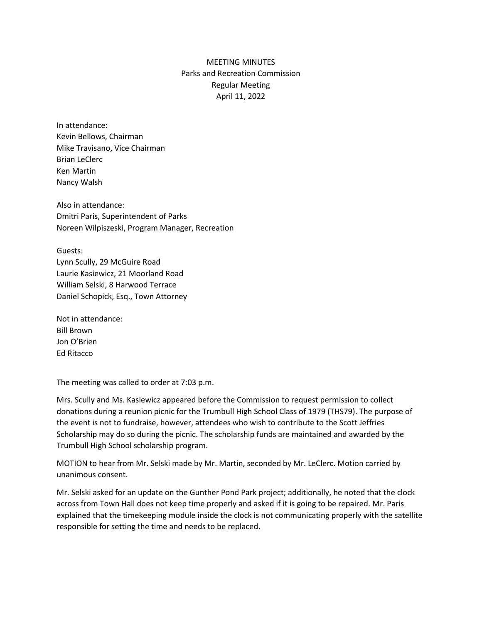## MEETING MINUTES Parks and Recreation Commission Regular Meeting April 11, 2022

In attendance: Kevin Bellows, Chairman Mike Travisano, Vice Chairman Brian LeClerc Ken Martin Nancy Walsh

Also in attendance: Dmitri Paris, Superintendent of Parks Noreen Wilpiszeski, Program Manager, Recreation

Guests: Lynn Scully, 29 McGuire Road Laurie Kasiewicz, 21 Moorland Road William Selski, 8 Harwood Terrace Daniel Schopick, Esq., Town Attorney

Not in attendance: Bill Brown Jon O'Brien Ed Ritacco

The meeting was called to order at 7:03 p.m.

Mrs. Scully and Ms. Kasiewicz appeared before the Commission to request permission to collect donations during a reunion picnic for the Trumbull High School Class of 1979 (THS79). The purpose of the event is not to fundraise, however, attendees who wish to contribute to the Scott Jeffries Scholarship may do so during the picnic. The scholarship funds are maintained and awarded by the Trumbull High School scholarship program.

MOTION to hear from Mr. Selski made by Mr. Martin, seconded by Mr. LeClerc. Motion carried by unanimous consent.

Mr. Selski asked for an update on the Gunther Pond Park project; additionally, he noted that the clock across from Town Hall does not keep time properly and asked if it is going to be repaired. Mr. Paris explained that the timekeeping module inside the clock is not communicating properly with the satellite responsible for setting the time and needs to be replaced.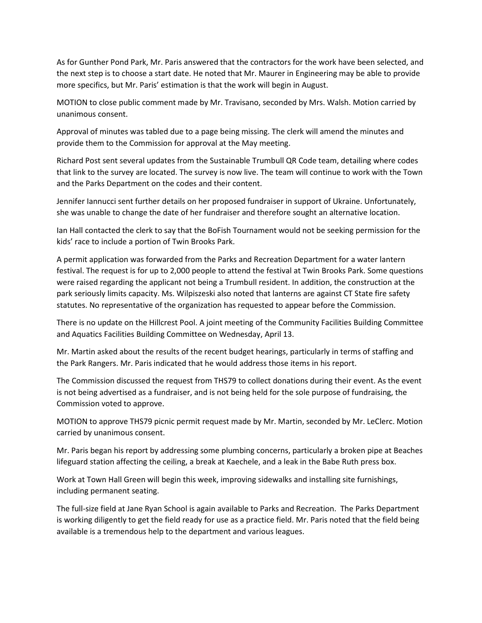As for Gunther Pond Park, Mr. Paris answered that the contractors for the work have been selected, and the next step is to choose a start date. He noted that Mr. Maurer in Engineering may be able to provide more specifics, but Mr. Paris' estimation is that the work will begin in August.

MOTION to close public comment made by Mr. Travisano, seconded by Mrs. Walsh. Motion carried by unanimous consent.

Approval of minutes was tabled due to a page being missing. The clerk will amend the minutes and provide them to the Commission for approval at the May meeting.

Richard Post sent several updates from the Sustainable Trumbull QR Code team, detailing where codes that link to the survey are located. The survey is now live. The team will continue to work with the Town and the Parks Department on the codes and their content.

Jennifer Iannucci sent further details on her proposed fundraiser in support of Ukraine. Unfortunately, she was unable to change the date of her fundraiser and therefore sought an alternative location.

Ian Hall contacted the clerk to say that the BoFish Tournament would not be seeking permission for the kids' race to include a portion of Twin Brooks Park.

A permit application was forwarded from the Parks and Recreation Department for a water lantern festival. The request is for up to 2,000 people to attend the festival at Twin Brooks Park. Some questions were raised regarding the applicant not being a Trumbull resident. In addition, the construction at the park seriously limits capacity. Ms. Wilpiszeski also noted that lanterns are against CT State fire safety statutes. No representative of the organization has requested to appear before the Commission.

There is no update on the Hillcrest Pool. A joint meeting of the Community Facilities Building Committee and Aquatics Facilities Building Committee on Wednesday, April 13.

Mr. Martin asked about the results of the recent budget hearings, particularly in terms of staffing and the Park Rangers. Mr. Paris indicated that he would address those items in his report.

The Commission discussed the request from THS79 to collect donations during their event. As the event is not being advertised as a fundraiser, and is not being held for the sole purpose of fundraising, the Commission voted to approve.

MOTION to approve THS79 picnic permit request made by Mr. Martin, seconded by Mr. LeClerc. Motion carried by unanimous consent.

Mr. Paris began his report by addressing some plumbing concerns, particularly a broken pipe at Beaches lifeguard station affecting the ceiling, a break at Kaechele, and a leak in the Babe Ruth press box.

Work at Town Hall Green will begin this week, improving sidewalks and installing site furnishings, including permanent seating.

The full-size field at Jane Ryan School is again available to Parks and Recreation. The Parks Department is working diligently to get the field ready for use as a practice field. Mr. Paris noted that the field being available is a tremendous help to the department and various leagues.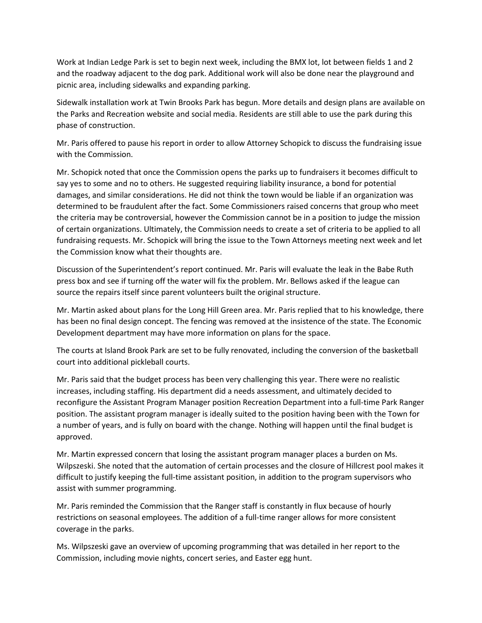Work at Indian Ledge Park is set to begin next week, including the BMX lot, lot between fields 1 and 2 and the roadway adjacent to the dog park. Additional work will also be done near the playground and picnic area, including sidewalks and expanding parking.

Sidewalk installation work at Twin Brooks Park has begun. More details and design plans are available on the Parks and Recreation website and social media. Residents are still able to use the park during this phase of construction.

Mr. Paris offered to pause his report in order to allow Attorney Schopick to discuss the fundraising issue with the Commission.

Mr. Schopick noted that once the Commission opens the parks up to fundraisers it becomes difficult to say yes to some and no to others. He suggested requiring liability insurance, a bond for potential damages, and similar considerations. He did not think the town would be liable if an organization was determined to be fraudulent after the fact. Some Commissioners raised concerns that group who meet the criteria may be controversial, however the Commission cannot be in a position to judge the mission of certain organizations. Ultimately, the Commission needs to create a set of criteria to be applied to all fundraising requests. Mr. Schopick will bring the issue to the Town Attorneys meeting next week and let the Commission know what their thoughts are.

Discussion of the Superintendent's report continued. Mr. Paris will evaluate the leak in the Babe Ruth press box and see if turning off the water will fix the problem. Mr. Bellows asked if the league can source the repairs itself since parent volunteers built the original structure.

Mr. Martin asked about plans for the Long Hill Green area. Mr. Paris replied that to his knowledge, there has been no final design concept. The fencing was removed at the insistence of the state. The Economic Development department may have more information on plans for the space.

The courts at Island Brook Park are set to be fully renovated, including the conversion of the basketball court into additional pickleball courts.

Mr. Paris said that the budget process has been very challenging this year. There were no realistic increases, including staffing. His department did a needs assessment, and ultimately decided to reconfigure the Assistant Program Manager position Recreation Department into a full-time Park Ranger position. The assistant program manager is ideally suited to the position having been with the Town for a number of years, and is fully on board with the change. Nothing will happen until the final budget is approved.

Mr. Martin expressed concern that losing the assistant program manager places a burden on Ms. Wilpszeski. She noted that the automation of certain processes and the closure of Hillcrest pool makes it difficult to justify keeping the full-time assistant position, in addition to the program supervisors who assist with summer programming.

Mr. Paris reminded the Commission that the Ranger staff is constantly in flux because of hourly restrictions on seasonal employees. The addition of a full-time ranger allows for more consistent coverage in the parks.

Ms. Wilpszeski gave an overview of upcoming programming that was detailed in her report to the Commission, including movie nights, concert series, and Easter egg hunt.